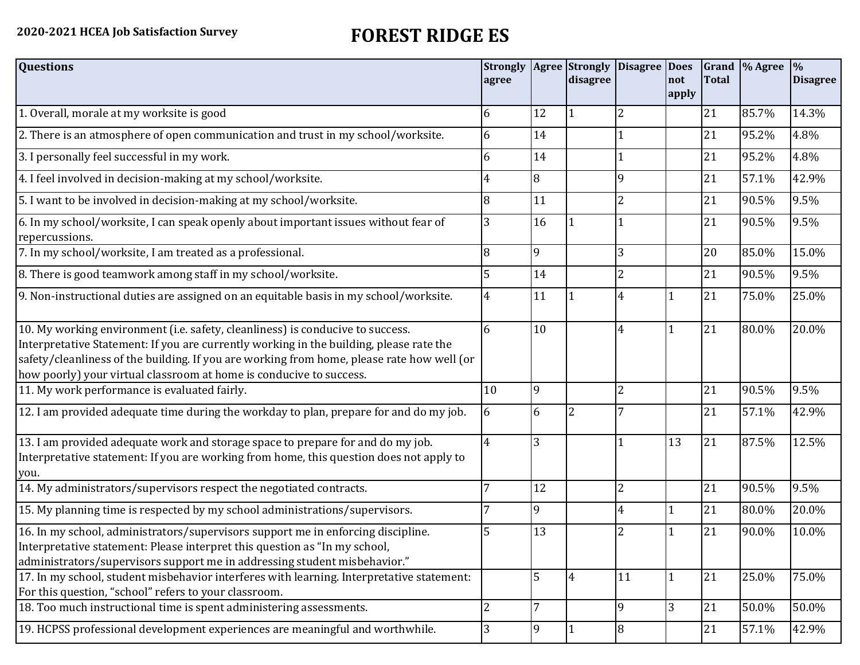## **2020-2021 HCEA Job Satisfaction Survey FOREST RIDGE ES**

| <b>Questions</b>                                                                                                                                                                                                                                                                                                                               | <b>Strongly</b><br>agree |    | <b>Agree</b> Strongly<br>disagree | Disagree Does  | not<br>apply | <b>Total</b> | Grand  % Agree | $\frac{0}{0}$<br><b>Disagree</b> |
|------------------------------------------------------------------------------------------------------------------------------------------------------------------------------------------------------------------------------------------------------------------------------------------------------------------------------------------------|--------------------------|----|-----------------------------------|----------------|--------------|--------------|----------------|----------------------------------|
| 1. Overall, morale at my worksite is good                                                                                                                                                                                                                                                                                                      | 6                        | 12 |                                   | 2              |              | 21           | 85.7%          | 14.3%                            |
| 2. There is an atmosphere of open communication and trust in my school/worksite.                                                                                                                                                                                                                                                               | 6                        | 14 |                                   |                |              | 21           | 95.2%          | 4.8%                             |
| 3. I personally feel successful in my work.                                                                                                                                                                                                                                                                                                    | 6                        | 14 |                                   |                |              | 21           | 95.2%          | 4.8%                             |
| 4. I feel involved in decision-making at my school/worksite.                                                                                                                                                                                                                                                                                   | 4                        | 8  |                                   | 9              |              | 21           | 57.1%          | 42.9%                            |
| 5. I want to be involved in decision-making at my school/worksite.                                                                                                                                                                                                                                                                             | 8                        | 11 |                                   | 2              |              | 21           | 90.5%          | 9.5%                             |
| 6. In my school/worksite, I can speak openly about important issues without fear of<br>repercussions.                                                                                                                                                                                                                                          | 3                        | 16 |                                   |                |              | 21           | 90.5%          | 9.5%                             |
| 7. In my school/worksite, I am treated as a professional.                                                                                                                                                                                                                                                                                      | 8                        | 9  |                                   | 3              |              | 20           | 85.0%          | 15.0%                            |
| 8. There is good teamwork among staff in my school/worksite.                                                                                                                                                                                                                                                                                   | 5                        | 14 |                                   | $\overline{2}$ |              | 21           | 90.5%          | 9.5%                             |
| 9. Non-instructional duties are assigned on an equitable basis in my school/worksite.                                                                                                                                                                                                                                                          | 4                        | 11 |                                   | 4              |              | 21           | 75.0%          | 25.0%                            |
| 10. My working environment (i.e. safety, cleanliness) is conducive to success.<br>Interpretative Statement: If you are currently working in the building, please rate the<br>safety/cleanliness of the building. If you are working from home, please rate how well (or<br>how poorly) your virtual classroom at home is conducive to success. | 6                        | 10 |                                   | 4              |              | 21           | 80.0%          | 20.0%                            |
| 11. My work performance is evaluated fairly.                                                                                                                                                                                                                                                                                                   | 10                       | 9  |                                   | $\overline{2}$ |              | 21           | 90.5%          | 9.5%                             |
| 12. I am provided adequate time during the workday to plan, prepare for and do my job.                                                                                                                                                                                                                                                         | 6                        | 6  | $\overline{2}$                    |                |              | 21           | 57.1%          | 42.9%                            |
| 13. I am provided adequate work and storage space to prepare for and do my job.<br>Interpretative statement: If you are working from home, this question does not apply to<br>you.                                                                                                                                                             | 4                        | 3  |                                   |                | 13           | 21           | 87.5%          | 12.5%                            |
| 14. My administrators/supervisors respect the negotiated contracts.                                                                                                                                                                                                                                                                            |                          | 12 |                                   | $\overline{2}$ |              | 21           | 90.5%          | 9.5%                             |
| 15. My planning time is respected by my school administrations/supervisors.                                                                                                                                                                                                                                                                    |                          | 9  |                                   | 4              |              | 21           | 80.0%          | 20.0%                            |
| 16. In my school, administrators/supervisors support me in enforcing discipline.<br>Interpretative statement: Please interpret this question as "In my school,<br>administrators/supervisors support me in addressing student misbehavior."                                                                                                    | 5                        | 13 |                                   |                |              | 21           | 90.0%          | 10.0%                            |
| 17. In my school, student misbehavior interferes with learning. Interpretative statement:<br>For this question, "school" refers to your classroom.                                                                                                                                                                                             |                          | 5  | $\overline{4}$                    | 11             |              | 21           | 25.0%          | 75.0%                            |
| 18. Too much instructional time is spent administering assessments.                                                                                                                                                                                                                                                                            | $\overline{2}$           |    |                                   | 9              | 3            | 21           | 50.0%          | 50.0%                            |
| 19. HCPSS professional development experiences are meaningful and worthwhile.                                                                                                                                                                                                                                                                  | 3                        | 9  | 1                                 | 8              |              | 21           | 57.1%          | 42.9%                            |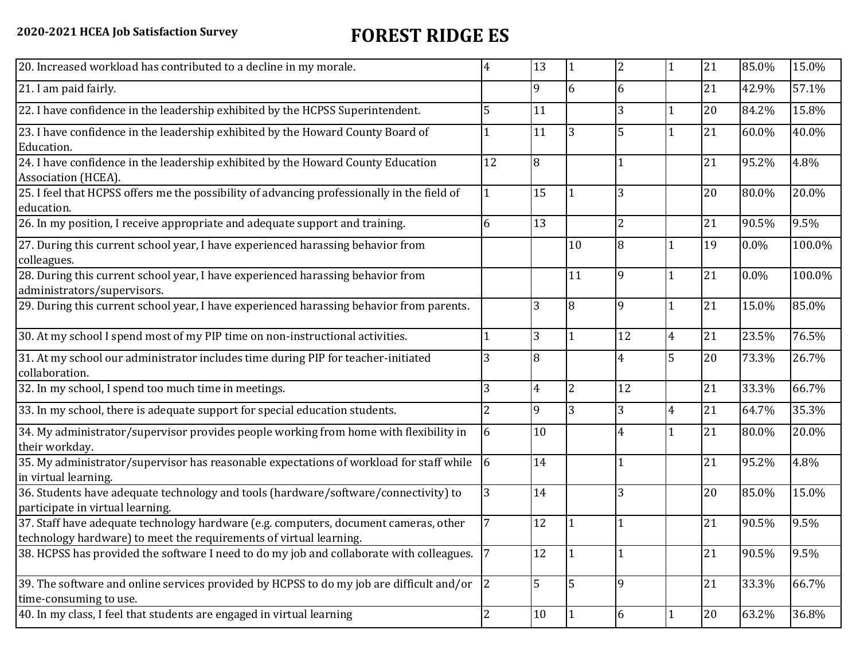## **2020-2021 HCEA Job Satisfaction Survey FOREST RIDGE ES**

| 20. Increased workload has contributed to a decline in my morale.                                                                                          | 4              | 13 |                | 2              |                | 21 | 85.0%   | 15.0%  |
|------------------------------------------------------------------------------------------------------------------------------------------------------------|----------------|----|----------------|----------------|----------------|----|---------|--------|
| 21. I am paid fairly.                                                                                                                                      |                | 9  | 6              | 6              |                | 21 | 42.9%   | 57.1%  |
| 22. I have confidence in the leadership exhibited by the HCPSS Superintendent.                                                                             | 5              | 11 |                | 3              |                | 20 | 84.2%   | 15.8%  |
| 23. I have confidence in the leadership exhibited by the Howard County Board of<br>Education.                                                              |                | 11 | 3              | 5              |                | 21 | 60.0%   | 40.0%  |
| 24. I have confidence in the leadership exhibited by the Howard County Education<br>Association (HCEA).                                                    | 12             | 8  |                |                |                | 21 | 95.2%   | 4.8%   |
| 25. I feel that HCPSS offers me the possibility of advancing professionally in the field of<br>education.                                                  |                | 15 |                | 3              |                | 20 | 80.0%   | 20.0%  |
| 26. In my position, I receive appropriate and adequate support and training.                                                                               | 6              | 13 |                | $\overline{2}$ |                | 21 | 90.5%   | 9.5%   |
| 27. During this current school year, I have experienced harassing behavior from<br>colleagues.                                                             |                |    | 10             | 8              |                | 19 | $0.0\%$ | 100.0% |
| 28. During this current school year, I have experienced harassing behavior from<br>administrators/supervisors.                                             |                |    | 11             | 9              |                | 21 | $0.0\%$ | 100.0% |
| 29. During this current school year, I have experienced harassing behavior from parents.                                                                   |                | 3  | 8              | 9              |                | 21 | 15.0%   | 85.0%  |
| 30. At my school I spend most of my PIP time on non-instructional activities.                                                                              |                | 3  | 1              | 12             | $\overline{4}$ | 21 | 23.5%   | 76.5%  |
| 31. At my school our administrator includes time during PIP for teacher-initiated<br>collaboration.                                                        |                | 8  |                | 4              | 5              | 20 | 73.3%   | 26.7%  |
| 32. In my school, I spend too much time in meetings.                                                                                                       | 3              | 4  | $\overline{2}$ | 12             |                | 21 | 33.3%   | 66.7%  |
| 33. In my school, there is adequate support for special education students.                                                                                |                | 9  | 3              | 3              | 4              | 21 | 64.7%   | 35.3%  |
| 34. My administrator/supervisor provides people working from home with flexibility in<br>their workday.                                                    | 6              | 10 |                | 4              |                | 21 | 80.0%   | 20.0%  |
| 35. My administrator/supervisor has reasonable expectations of workload for staff while<br>in virtual learning.                                            | 6              | 14 |                |                |                | 21 | 95.2%   | 4.8%   |
| 36. Students have adequate technology and tools (hardware/software/connectivity) to<br>participate in virtual learning.                                    | 3              | 14 |                | 3              |                | 20 | 85.0%   | 15.0%  |
| 37. Staff have adequate technology hardware (e.g. computers, document cameras, other<br>technology hardware) to meet the requirements of virtual learning. |                | 12 |                |                |                | 21 | 90.5%   | 9.5%   |
| 38. HCPSS has provided the software I need to do my job and collaborate with colleagues.                                                                   |                | 12 | 1              |                |                | 21 | 90.5%   | 9.5%   |
| 39. The software and online services provided by HCPSS to do my job are difficult and/or<br>time-consuming to use.                                         | 2              | 5  | 5              | 9              |                | 21 | 33.3%   | 66.7%  |
| 40. In my class, I feel that students are engaged in virtual learning                                                                                      | $\overline{2}$ | 10 | 1              | 6              |                | 20 | 63.2%   | 36.8%  |
|                                                                                                                                                            |                |    |                |                |                |    |         |        |